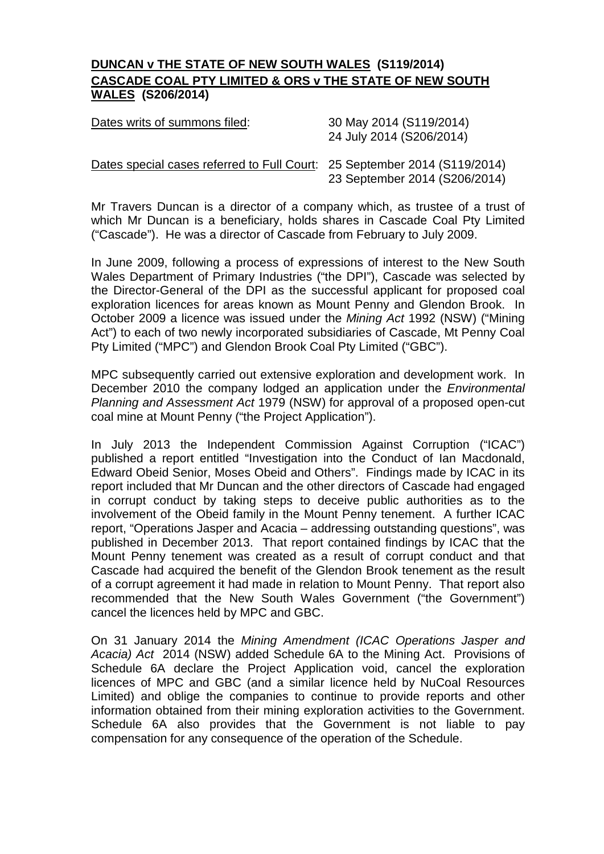## **DUNCAN v THE STATE OF NEW SOUTH WALES (S119/2014) CASCADE COAL PTY LIMITED & ORS v THE STATE OF NEW SOUTH WALES (S206/2014)**

| Dates writs of summons filed: | 30 May 2014 (S119/2014)  |
|-------------------------------|--------------------------|
|                               | 24 July 2014 (S206/2014) |
|                               |                          |

## Dates special cases referred to Full Court: 25 September 2014 (S119/2014) 23 September 2014 (S206/2014)

Mr Travers Duncan is a director of a company which, as trustee of a trust of which Mr Duncan is a beneficiary, holds shares in Cascade Coal Pty Limited ("Cascade"). He was a director of Cascade from February to July 2009.

In June 2009, following a process of expressions of interest to the New South Wales Department of Primary Industries ("the DPI"), Cascade was selected by the Director-General of the DPI as the successful applicant for proposed coal exploration licences for areas known as Mount Penny and Glendon Brook. In October 2009 a licence was issued under the *Mining Act* 1992 (NSW) ("Mining Act") to each of two newly incorporated subsidiaries of Cascade, Mt Penny Coal Pty Limited ("MPC") and Glendon Brook Coal Pty Limited ("GBC").

MPC subsequently carried out extensive exploration and development work. In December 2010 the company lodged an application under the *Environmental Planning and Assessment Act* 1979 (NSW) for approval of a proposed open-cut coal mine at Mount Penny ("the Project Application").

In July 2013 the Independent Commission Against Corruption ("ICAC") published a report entitled "Investigation into the Conduct of Ian Macdonald, Edward Obeid Senior, Moses Obeid and Others". Findings made by ICAC in its report included that Mr Duncan and the other directors of Cascade had engaged in corrupt conduct by taking steps to deceive public authorities as to the involvement of the Obeid family in the Mount Penny tenement. A further ICAC report, "Operations Jasper and Acacia – addressing outstanding questions", was published in December 2013. That report contained findings by ICAC that the Mount Penny tenement was created as a result of corrupt conduct and that Cascade had acquired the benefit of the Glendon Brook tenement as the result of a corrupt agreement it had made in relation to Mount Penny. That report also recommended that the New South Wales Government ("the Government") cancel the licences held by MPC and GBC.

On 31 January 2014 the *Mining Amendment (ICAC Operations Jasper and Acacia) Act* 2014 (NSW) added Schedule 6A to the Mining Act. Provisions of Schedule 6A declare the Project Application void, cancel the exploration licences of MPC and GBC (and a similar licence held by NuCoal Resources Limited) and oblige the companies to continue to provide reports and other information obtained from their mining exploration activities to the Government. Schedule 6A also provides that the Government is not liable to pay compensation for any consequence of the operation of the Schedule.